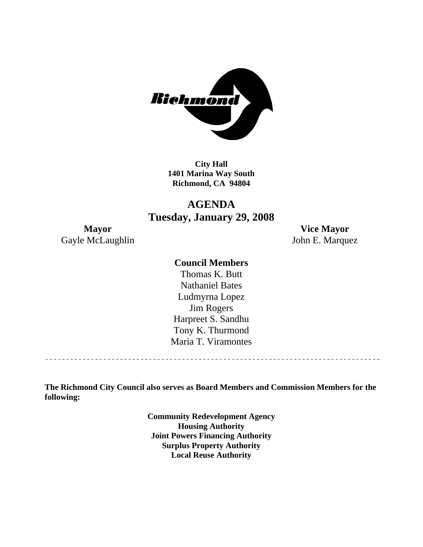

**City Hall 1401 Marina Way South Richmond, CA 94804** 

# **AGENDA Tuesday, January 29, 2008**

Gayle McLaughlin John E. Marquez

**Mayor Vice Mayor** 

#### **Council Members**

Harpreet S. Sandhu Tony K. Thurmond Maria T. Viramontes Thomas K. Butt Nathaniel Bates Ludmyrna Lopez Jim Rogers

**The Richmond City Council also serves as Board Members and Commission Members for the following:** 

> **Community Redevelopment Agency Housing Authority Joint Powers Financing Authority Surplus Property Authority Local Reuse Authority**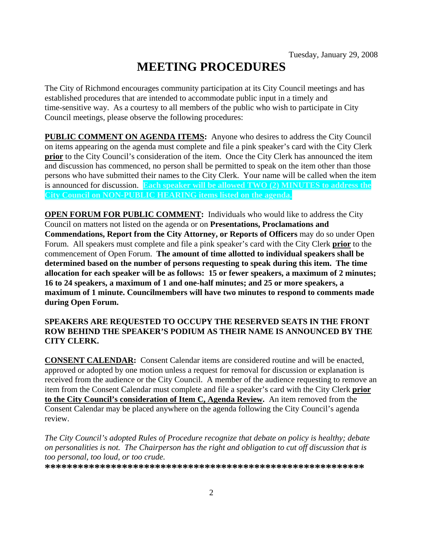# **MEETING PROCEDURES**

The City of Richmond encourages community participation at its City Council meetings and has established procedures that are intended to accommodate public input in a timely and time-sensitive way. As a courtesy to all members of the public who wish to participate in City Council meetings, please observe the following procedures:

**PUBLIC COMMENT ON AGENDA ITEMS:** Anyone who desires to address the City Council on items appearing on the agenda must complete and file a pink speaker's card with the City Clerk **prior** to the City Council's consideration of the item. Once the City Clerk has announced the item and discussion has commenced, no person shall be permitted to speak on the item other than those persons who have submitted their names to the City Clerk. Your name will be called when the item is announced for discussion. **Each speaker will be allowed TWO (2) MINUTES to address the City Council on NON-PUBLIC HEARING items listed on the agenda.** 

**OPEN FORUM FOR PUBLIC COMMENT:** Individuals who would like to address the City Council on matters not listed on the agenda or on **Presentations, Proclamations and Commendations, Report from the City Attorney, or Reports of Officers** may do so under Open Forum. All speakers must complete and file a pink speaker's card with the City Clerk **prior** to the commencement of Open Forum. **The amount of time allotted to individual speakers shall be determined based on the number of persons requesting to speak during this item. The time allocation for each speaker will be as follows: 15 or fewer speakers, a maximum of 2 minutes; 16 to 24 speakers, a maximum of 1 and one-half minutes; and 25 or more speakers, a maximum of 1 minute. Councilmembers will have two minutes to respond to comments made during Open Forum.** 

#### **SPEAKERS ARE REQUESTED TO OCCUPY THE RESERVED SEATS IN THE FRONT ROW BEHIND THE SPEAKER'S PODIUM AS THEIR NAME IS ANNOUNCED BY THE CITY CLERK.**

**CONSENT CALENDAR:** Consent Calendar items are considered routine and will be enacted, approved or adopted by one motion unless a request for removal for discussion or explanation is received from the audience or the City Council. A member of the audience requesting to remove an item from the Consent Calendar must complete and file a speaker's card with the City Clerk **prior to the City Council's consideration of Item C, Agenda Review.** An item removed from the Consent Calendar may be placed anywhere on the agenda following the City Council's agenda review.

*The City Council's adopted Rules of Procedure recognize that debate on policy is healthy; debate on personalities is not. The Chairperson has the right and obligation to cut off discussion that is too personal, too loud, or too crude.* 

**\*\*\*\*\*\*\*\*\*\*\*\*\*\*\*\*\*\*\*\*\*\*\*\*\*\*\*\*\*\*\*\*\*\*\*\*\*\*\*\*\*\*\*\*\*\*\*\*\*\*\*\*\*\*\*\*\*\***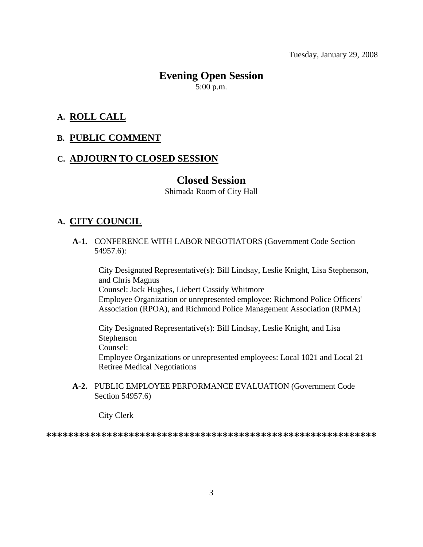## **Evening Open Session**  5:00 p.m.

**A. ROLL CALL**

# **B. PUBLIC COMMENT**

#### **C. ADJOURN TO CLOSED SESSION**

#### **Closed Session**

Shimada Room of City Hall

#### **A. CITY COUNCIL**

 **A-1.** CONFERENCE WITH LABOR NEGOTIATORS (Government Code Section 54957.6):

City Designated Representative(s): Bill Lindsay, Leslie Knight, Lisa Stephenson, and Chris Magnus Counsel: Jack Hughes, Liebert Cassidy Whitmore Employee Organization or unrepresented employee: Richmond Police Officers' Association (RPOA), and Richmond Police Management Association (RPMA)

City Designated Representative(s): Bill Lindsay, Leslie Knight, and Lisa Stephenson Counsel:

Employee Organizations or unrepresented employees: Local 1021 and Local 21 Retiree Medical Negotiations

 **A-2.** PUBLIC EMPLOYEE PERFORMANCE EVALUATION (Government Code Section 54957.6)

City Clerk

**\*\*\*\*\*\*\*\*\*\*\*\*\*\*\*\*\*\*\*\*\*\*\*\*\*\*\*\*\*\*\*\*\*\*\*\*\*\*\*\*\*\*\*\*\*\*\*\*\*\*\*\*\*\*\*\*\*\*\*\***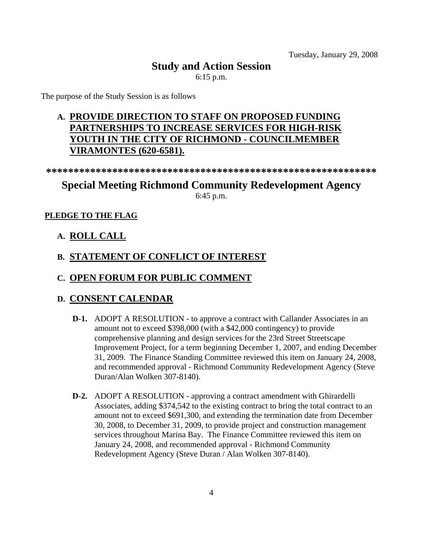# **Study and Action Session**

6:15 p.m.

The purpose of the Study Session is as follows

# **A. PROVIDE DIRECTION TO STAFF ON PROPOSED FUNDING PARTNERSHIPS TO INCREASE SERVICES FOR HIGH-RISK YOUTH IN THE CITY OF RICHMOND - COUNCILMEMBER VIRAMONTES (620-6581).**

**\*\*\*\*\*\*\*\*\*\*\*\*\*\*\*\*\*\*\*\*\*\*\*\*\*\*\*\*\*\*\*\*\*\*\*\*\*\*\*\*\*\*\*\*\*\*\*\*\*\*\*\*\*\*\*\*\*\*\*\*** 

# **Special Meeting Richmond Community Redevelopment Agency**

6:45 p.m.

#### **PLEDGE TO THE FLAG**

#### **A. ROLL CALL**

# **B. STATEMENT OF CONFLICT OF INTEREST**

## **C. OPEN FORUM FOR PUBLIC COMMENT**

#### **D. CONSENT CALENDAR**

- **D-1.** ADOPT A RESOLUTION to approve a contract with Callander Associates in an amount not to exceed \$398,000 (with a \$42,000 contingency) to provide comprehensive planning and design services for the 23rd Street Streetscape Improvement Project, for a term beginning December 1, 2007, and ending December 31, 2009. The Finance Standing Committee reviewed this item on January 24, 2008, and recommended approval - Richmond Community Redevelopment Agency (Steve Duran/Alan Wolken 307-8140).
- **D-2.** ADOPT A RESOLUTION approving a contract amendment with Ghirardelli Associates, adding \$374,542 to the existing contract to bring the total contract to an amount not to exceed \$691,300, and extending the termination date from December 30, 2008, to December 31, 2009, to provide project and construction management services throughout Marina Bay. The Finance Committee reviewed this item on January 24, 2008, and recommended approval - Richmond Community Redevelopment Agency (Steve Duran / Alan Wolken 307-8140).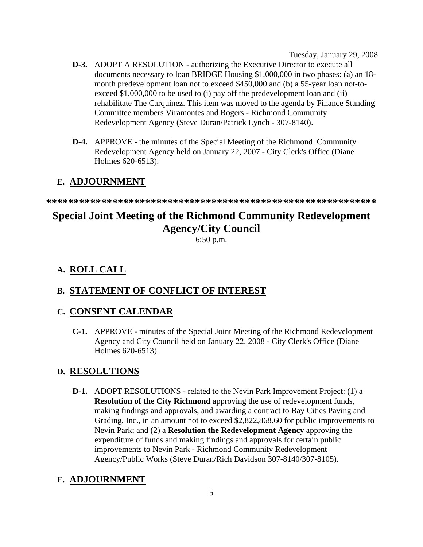- **D-3.** ADOPT A RESOLUTION authorizing the Executive Director to execute all documents necessary to loan BRIDGE Housing \$1,000,000 in two phases: (a) an 18 month predevelopment loan not to exceed \$450,000 and (b) a 55-year loan not-toexceed \$1,000,000 to be used to (i) pay off the predevelopment loan and (ii) rehabilitate The Carquinez. This item was moved to the agenda by Finance Standing Committee members Viramontes and Rogers - Richmond Community Redevelopment Agency (Steve Duran/Patrick Lynch - 307-8140).
- **D-4.** APPROVE the minutes of the Special Meeting of the Richmond Community Redevelopment Agency held on January 22, 2007 - City Clerk's Office (Diane Holmes 620-6513).

# **E. ADJOURNMENT**

**\*\*\*\*\*\*\*\*\*\*\*\*\*\*\*\*\*\*\*\*\*\*\*\*\*\*\*\*\*\*\*\*\*\*\*\*\*\*\*\*\*\*\*\*\*\*\*\*\*\*\*\*\*\*\*\*\*\*\*\*** 

# **Special Joint Meeting of the Richmond Community Redevelopment Agency/City Council**

6:50 p.m.

# **A. ROLL CALL**

# **B. STATEMENT OF CONFLICT OF INTEREST**

# **C. CONSENT CALENDAR**

 **C-1.** APPROVE - minutes of the Special Joint Meeting of the Richmond Redevelopment Agency and City Council held on January 22, 2008 - City Clerk's Office (Diane Holmes 620-6513).

# **D. RESOLUTIONS**

 **D-1.** ADOPT RESOLUTIONS - related to the Nevin Park Improvement Project: (1) a **Resolution of the City Richmond** approving the use of redevelopment funds, making findings and approvals, and awarding a contract to Bay Cities Paving and Grading, Inc., in an amount not to exceed \$2,822,868.60 for public improvements to Nevin Park; and (2) a **Resolution the Redevelopment Agency** approving the expenditure of funds and making findings and approvals for certain public improvements to Nevin Park - Richmond Community Redevelopment Agency/Public Works (Steve Duran/Rich Davidson 307-8140/307-8105).

# **E. ADJOURNMENT**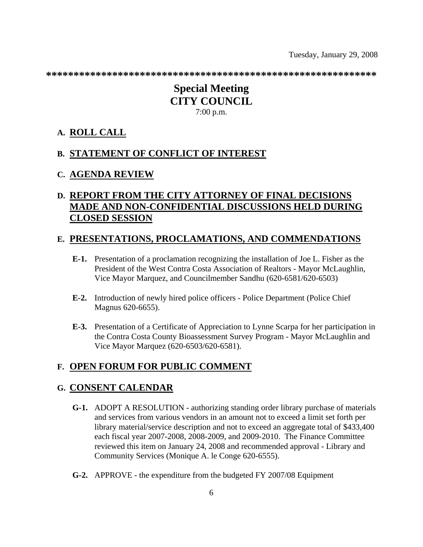**\*\*\*\*\*\*\*\*\*\*\*\*\*\*\*\*\*\*\*\*\*\*\*\*\*\*\*\*\*\*\*\*\*\*\*\*\*\*\*\*\*\*\*\*\*\*\*\*\*\*\*\*\*\*\*\*\*\*\*\*** 

# **Special Meeting CITY COUNCIL**  7:00 p.m.

#### **A. ROLL CALL**

#### **B. STATEMENT OF CONFLICT OF INTEREST**

#### **C. AGENDA REVIEW**

# **D. REPORT FROM THE CITY ATTORNEY OF FINAL DECISIONS MADE AND NON-CONFIDENTIAL DISCUSSIONS HELD DURING CLOSED SESSION**

#### **E. PRESENTATIONS, PROCLAMATIONS, AND COMMENDATIONS**

- **E-1.** Presentation of a proclamation recognizing the installation of Joe L. Fisher as the President of the West Contra Costa Association of Realtors - Mayor McLaughlin, Vice Mayor Marquez, and Councilmember Sandhu (620-6581/620-6503)
- **E-2.** Introduction of newly hired police officers Police Department (Police Chief Magnus 620-6655).
- **E-3.** Presentation of a Certificate of Appreciation to Lynne Scarpa for her participation in the Contra Costa County Bioassessment Survey Program - Mayor McLaughlin and Vice Mayor Marquez (620-6503/620-6581).

#### **F. OPEN FORUM FOR PUBLIC COMMENT**

#### **G. CONSENT CALENDAR**

- **G-1.** ADOPT A RESOLUTION authorizing standing order library purchase of materials and services from various vendors in an amount not to exceed a limit set forth per library material/service description and not to exceed an aggregate total of \$433,400 each fiscal year 2007-2008, 2008-2009, and 2009-2010. The Finance Committee reviewed this item on January 24, 2008 and recommended approval - Library and Community Services (Monique A. le Conge 620-6555).
- **G-2.** APPROVE the expenditure from the budgeted FY 2007/08 Equipment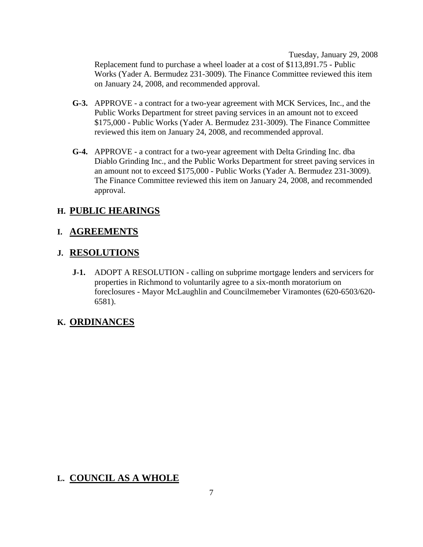Tuesday, January 29, 2008 Replacement fund to purchase a wheel loader at a cost of \$113,891.75 - Public Works (Yader A. Bermudez 231-3009). The Finance Committee reviewed this item on January 24, 2008, and recommended approval.

- **G-3.** APPROVE a contract for a two-year agreement with MCK Services, Inc., and the Public Works Department for street paving services in an amount not to exceed \$175,000 - Public Works (Yader A. Bermudez 231-3009). The Finance Committee reviewed this item on January 24, 2008, and recommended approval.
- **G-4.** APPROVE a contract for a two-year agreement with Delta Grinding Inc. dba Diablo Grinding Inc., and the Public Works Department for street paving services in an amount not to exceed \$175,000 - Public Works (Yader A. Bermudez 231-3009). The Finance Committee reviewed this item on January 24, 2008, and recommended approval.

## **H. PUBLIC HEARINGS**

## **I. AGREEMENTS**

#### **J. RESOLUTIONS**

 **J-1.** ADOPT A RESOLUTION - calling on subprime mortgage lenders and servicers for properties in Richmond to voluntarily agree to a six-month moratorium on foreclosures - Mayor McLaughlin and Councilmemeber Viramontes (620-6503/620- 6581).

#### **K. ORDINANCES**

# **L. COUNCIL AS A WHOLE**